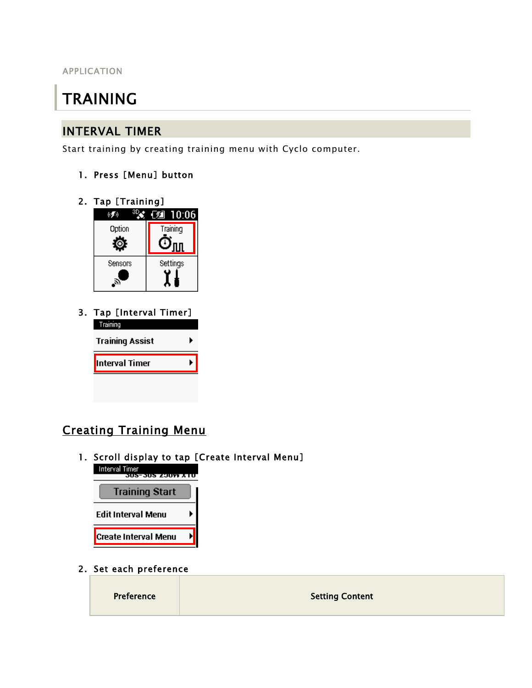APPLICATION

# TRAINING

#### INTERVAL TIMER

Start training by creating training menu with Cyclo computer.

- 1. Press [Menu] button
- 2. Tap [Training]



3. Tap [Interval Timer] Training **Training Assist** ▶ Interval Timer ¥.

# Creating Training Menu

1. Scroll display to tap [Create Interval Menu]<br>Interval Timer<br>305-305 2007 XTO



2. Set each preference

| Preference | <b>Setting Content</b> |
|------------|------------------------|
|            |                        |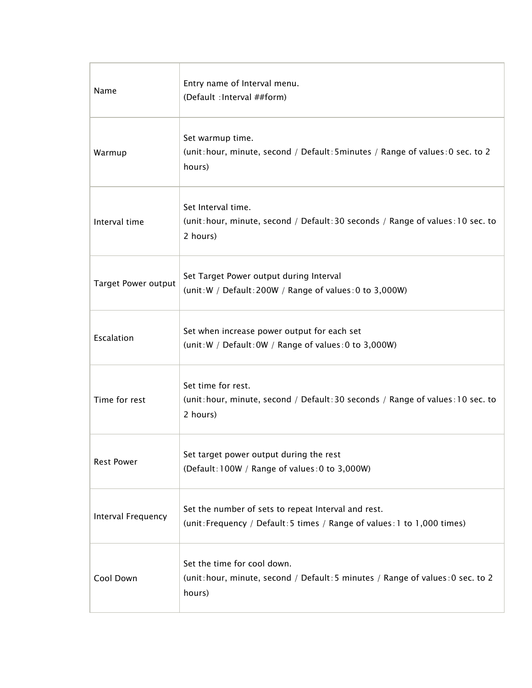| Name                       | Entry name of Interval menu.<br>(Default : Interval ##form)                                                                     |
|----------------------------|---------------------------------------------------------------------------------------------------------------------------------|
| Warmup                     | Set warmup time.<br>(unit: hour, minute, second / Default: 5minutes / Range of values: 0 sec. to 2<br>hours)                    |
| Interval time              | Set Interval time.<br>(unit: hour, minute, second / Default: 30 seconds / Range of values: 10 sec. to<br>2 hours)               |
| <b>Target Power output</b> | Set Target Power output during Interval<br>(unit: W / Default: 200W / Range of values: 0 to 3,000W)                             |
| Escalation                 | Set when increase power output for each set<br>(unit: W / Default: 0W / Range of values: 0 to 3,000W)                           |
| Time for rest              | Set time for rest.<br>(unit: hour, minute, second / Default: 30 seconds / Range of values: 10 sec. to<br>2 hours)               |
| <b>Rest Power</b>          | Set target power output during the rest<br>(Default: 100W / Range of values: 0 to 3,000W)                                       |
| Interval Frequency         | Set the number of sets to repeat Interval and rest.<br>(unit: Frequency / Default: 5 times / Range of values: 1 to 1,000 times) |
| Cool Down                  | Set the time for cool down.<br>(unit: hour, minute, second / Default: 5 minutes / Range of values: 0 sec. to 2<br>hours)        |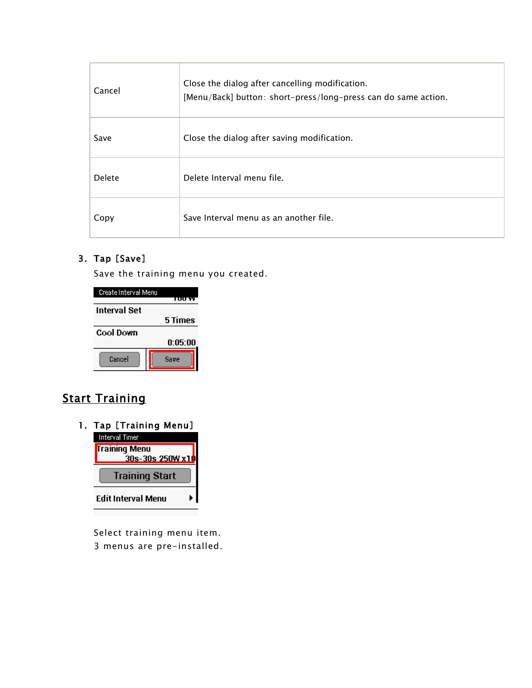| Cancel        | Close the dialog after cancelling modification.<br>[Menu/Back] button: short-press/long-press can do same action. |
|---------------|-------------------------------------------------------------------------------------------------------------------|
| Save          | Close the dialog after saving modification.                                                                       |
| <b>Delete</b> | Delete Interval menu file.                                                                                        |
| Copy          | Save Interval menu as an another file.                                                                            |

#### 3. Tap [Save]

Save the training menu you created.

| Create Interval Menu | TUU YY  |
|----------------------|---------|
| <b>Interval Set</b>  |         |
|                      | 5 Times |
| <b>Cool Down</b>     |         |
|                      | 0:05:00 |
| Cancel               | Save    |

# **Start Training**



Select training menu item. 3 menus are pre-installed.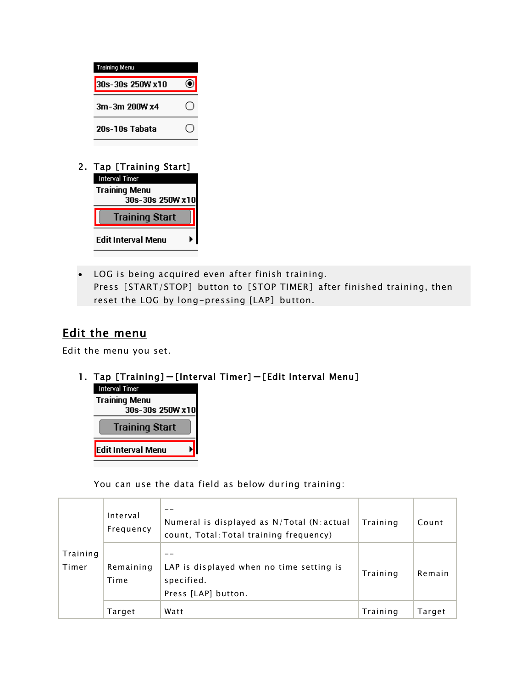

2. Tap [Training Start]



 LOG is being acquired even after finish training. Press [START/STOP] button to [STOP TIMER] after finished training, then reset the LOG by long-pressing [LAP] button.

### Edit the menu

Edit the menu you set.

#### 1. Tap [Training]-[Interval Timer]-[Edit Interval Menu]



You can use the data field as below during training:

|                   | Interval<br>Frequency | Numeral is displayed as $N/T$ otal (N: actual<br>count, Total: Total training frequency) | Training | Count  |
|-------------------|-----------------------|------------------------------------------------------------------------------------------|----------|--------|
| Training<br>Timer | Remaining<br>Time     | LAP is displayed when no time setting is<br>specified.<br>Press [LAP] button.            | Training | Remain |
|                   | Target                | Watt                                                                                     | Training | Target |